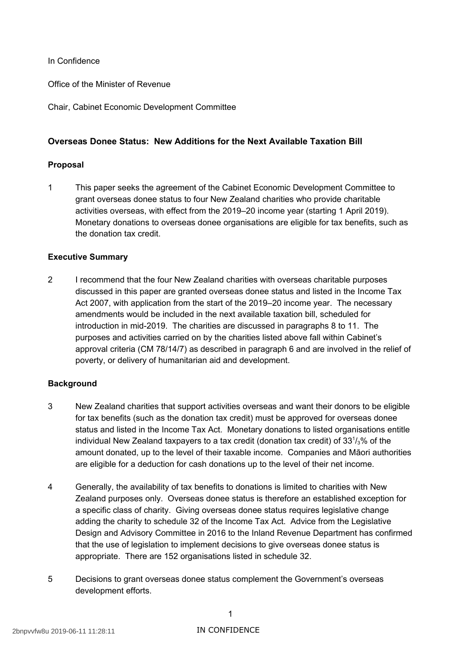In Confidence

Office of the Minister of Revenue

Chair, Cabinet Economic Development Committee

# **Overseas Donee Status: New Additions for the Next Available Taxation Bill**

### **Proposal**

 1 This paper seeks the agreement of the Cabinet Economic Development Committee to grant overseas donee status to four New Zealand charities who provide charitable activities overseas, with effect from the 2019–20 income year (starting 1 April 2019). Monetary donations to overseas donee organisations are eligible for tax benefits, such as the donation tax credit.

### **Executive Summary**

 2 I recommend that the four New Zealand charities with overseas charitable purposes discussed in this paper are granted overseas donee status and listed in the Income Tax Act 2007, with application from the start of the 2019–20 income year. The necessary amendments would be included in the next available taxation bill, scheduled for introduction in mid-2019. The charities are discussed in paragraphs 8 to 11. The purposes and activities carried on by the charities listed above fall within Cabinet's approval criteria (CM 78/14/7) as described in paragraph 6 and are involved in the relief of poverty, or delivery of humanitarian aid and development.

## **Background**

- 3 New Zealand charities that support activities overseas and want their donors to be eligible for tax benefits (such as the donation tax credit) must be approved for overseas donee status and listed in the Income Tax Act. Monetary donations to listed organisations entitle individual New Zealand taxpayers to a tax credit (donation tax credit) of  $33\frac{1}{3}\%$  of the amount donated, up to the level of their taxable income. Companies and Māori authorities are eligible for a deduction for cash donations up to the level of their net income.
- 4 Generally, the availability of tax benefits to donations is limited to charities with New Zealand purposes only. Overseas donee status is therefore an established exception for a specific class of charity. Giving overseas donee status requires legislative change adding the charity to schedule 32 of the Income Tax Act. Advice from the Legislative Design and Advisory Committee in 2016 to the Inland Revenue Department has confirmed that the use of legislation to implement decisions to give overseas donee status is appropriate. There are 152 organisations listed in schedule 32.
- 5 Decisions to grant overseas donee status complement the Government's overseas development efforts.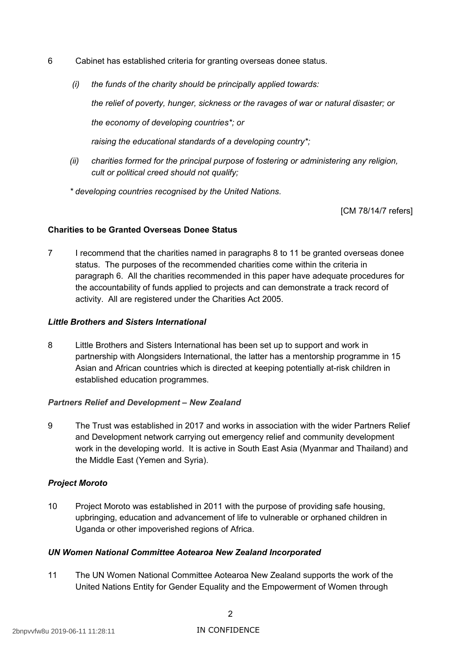- 6 Cabinet has established criteria for granting overseas donee status.
	- $(i)$ *(i) the funds of the charity should be principally applied towards:*

 *the relief of poverty, hunger, sickness or the ravages of war or natural disaster; or* 

 *the economy of developing countries\*; or* 

 *raising the educational standards of a developing country\*;* 

- *(ii) charities formed for the principal purpose of fostering or administering any religion, cult or political creed should not qualify;*
- *\* developing countries recognised by the United Nations.*

[CM 78/14/7 refers]

### **Charities to be Granted Overseas Donee Status**

 7 I recommend that the charities named in paragraphs 8 to 11 be granted overseas donee status. The purposes of the recommended charities come within the criteria in paragraph 6. All the charities recommended in this paper have adequate procedures for the accountability of funds applied to projects and can demonstrate a track record of activity. All are registered under the Charities Act 2005.

### *Little Brothers and Sisters International*

 8 Little Brothers and Sisters International has been set up to support and work in partnership with Alongsiders International, the latter has a mentorship programme in 15 Asian and African countries which is directed at keeping potentially at-risk children in established education programmes.

#### *Partners Relief and Development – New Zealand*

 9 The Trust was established in 2017 and works in association with the wider Partners Relief and Development network carrying out emergency relief and community development work in the developing world. It is active in South East Asia (Myanmar and Thailand) and the Middle East (Yemen and Syria).

#### *Project Moroto*

 10 Project Moroto was established in 2011 with the purpose of providing safe housing, upbringing, education and advancement of life to vulnerable or orphaned children in Uganda or other impoverished regions of Africa.

#### *UN Women National Committee Aotearoa New Zealand Incorporated*

 11 The UN Women National Committee Aotearoa New Zealand supports the work of the United Nations Entity for Gender Equality and the Empowerment of Women through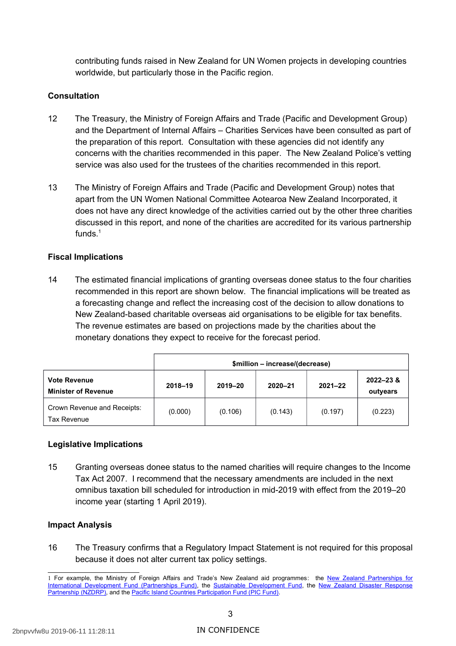contributing funds raised in New Zealand for UN Women projects in developing countries worldwide, but particularly those in the Pacific region.

## **Consultation**

- 12 The Treasury, the Ministry of Foreign Affairs and Trade (Pacific and Development Group) and the Department of Internal Affairs – Charities Services have been consulted as part of the preparation of this report. Consultation with these agencies did not identify any concerns with the charities recommended in this paper. The New Zealand Police's vetting service was also used for the trustees of the charities recommended in this report.
- 13 The Ministry of Foreign Affairs and Trade (Pacific and Development Group) notes that apart from the UN Women National Committee Aotearoa New Zealand Incorporated, it does not have any direct knowledge of the activities carried out by the other three charities discussed in this report, and none of the charities are accredited for its various partnership funds. $^1$

## **Fiscal Implications**

 14 The estimated financial implications of granting overseas donee status to the four charities recommended in this report are shown below. The financial implications will be treated as a forecasting change and reflect the increasing cost of the decision to allow donations to New Zealand-based charitable overseas aid organisations to be eligible for tax benefits. The revenue estimates are based on projections made by the charities about the monetary donations they expect to receive for the forecast period.

|                                                   | \$million - increase/(decrease) |         |         |             |                       |  |  |
|---------------------------------------------------|---------------------------------|---------|---------|-------------|-----------------------|--|--|
| <b>Vote Revenue</b><br><b>Minister of Revenue</b> | 2018-19                         | 2019-20 | 2020-21 | $2021 - 22$ | 2022-23 &<br>outyears |  |  |
| Crown Revenue and Receipts:<br>Tax Revenue        | (0.000)                         | (0.106) | (0.143) | (0.197)     | (0.223)               |  |  |

## **Legislative Implications**

 15 Granting overseas donee status to the named charities will require changes to the Income Tax Act 2007. I recommend that the necessary amendments are included in the next omnibus taxation bill scheduled for introduction in mid-2019 with effect from the 2019–20 income year (starting 1 April 2019).

## **Impact Analysis**

 16 The Treasury confirms that a Regulatory Impact Statement is not required for this proposal because it does not alter current tax policy settings.

<span id="page-2-0"></span><sup>1</sup> For example, the Ministry of Foreign Affairs and Trade's New Zealand aid programmes: the New Zealand Partnerships for [International Development Fund \(Partnerships Fund\),](https://www.mfat.govt.nz/en/aid-and-development/working-with-us/contestable-funds/partnerships-for-international-development-fund/) the [Sustainable Development Fund,](https://www.mfat.govt.nz/en/aid-and-development/working-with-us/contestable-funds/sustainable-development-fund/) the New Zealand Disaster Response [Partnership \(NZDRP\),](https://www.mfat.govt.nz/en/aid-and-development/working-with-us/contestable-funds/nz-disaster-response-partnership/) and the [Pacific Island Countries Participation Fund \(PIC Fund\).](https://www.mfat.govt.nz/en/aid-and-development/working-with-us/contestable-funds/pacific-island-countries-participation-fund-pic-fund/)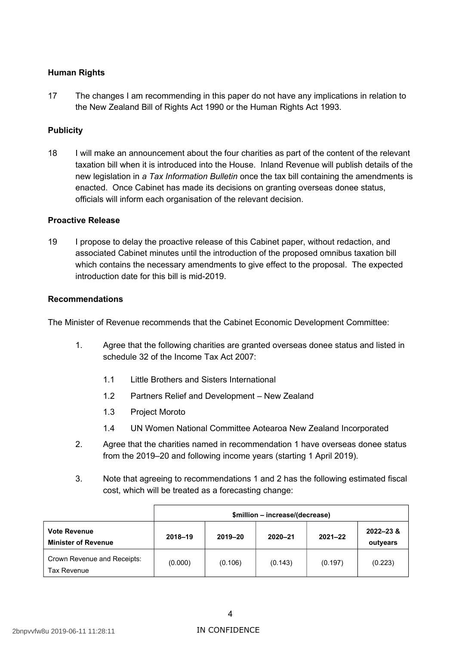### **Human Rights**

 17 The changes I am recommending in this paper do not have any implications in relation to the New Zealand Bill of Rights Act 1990 or the Human Rights Act 1993.

## **Publicity**

 18 I will make an announcement about the four charities as part of the content of the relevant taxation bill when it is introduced into the House. Inland Revenue will publish details of the new legislation in *a Tax Information Bulletin* once the tax bill containing the amendments is enacted. Once Cabinet has made its decisions on granting overseas donee status, officials will inform each organisation of the relevant decision.

#### **Proactive Release**

 19 I propose to delay the proactive release of this Cabinet paper, without redaction, and associated Cabinet minutes until the introduction of the proposed omnibus taxation bill which contains the necessary amendments to give effect to the proposal. The expected introduction date for this bill is mid-2019.

#### **Recommendations**

The Minister of Revenue recommends that the Cabinet Economic Development Committee:

- 1. Agree that the following charities are granted overseas donee status and listed in schedule 32 of the Income Tax Act 2007:
	- 1.1 Little Brothers and Sisters International
	- 1.2 Partners Relief and Development New Zealand
	- 1.3 Project Moroto
	- 1.4 UN Women National Committee Aotearoa New Zealand Incorporated
- 2. Agree that the charities named in recommendation 1 have overseas donee status from the 2019–20 and following income years (starting 1 April 2019).
- 3. Note that agreeing to recommendations 1 and 2 has the following estimated fiscal cost, which will be treated as a forecasting change:

|                                                   | \$million - increase/(decrease) |         |         |             |                       |  |  |
|---------------------------------------------------|---------------------------------|---------|---------|-------------|-----------------------|--|--|
| <b>Vote Revenue</b><br><b>Minister of Revenue</b> | 2018-19                         | 2019-20 | 2020-21 | $2021 - 22$ | 2022-23 &<br>outyears |  |  |
| Crown Revenue and Receipts:<br>Tax Revenue        | (0.000)                         | (0.106) | (0.143) | (0.197)     | (0.223)               |  |  |